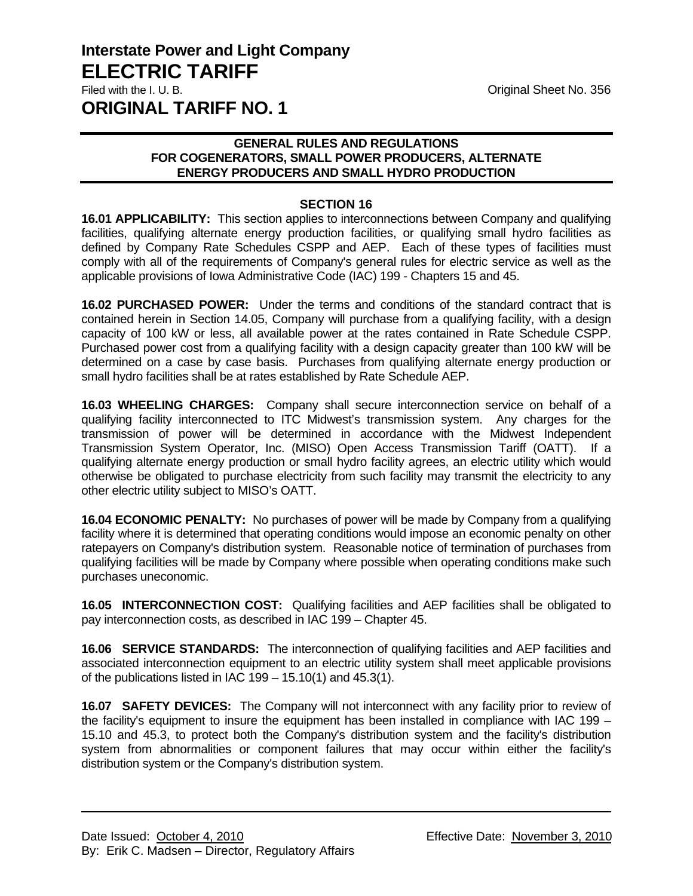## **GENERAL RULES AND REGULATIONS FOR COGENERATORS, SMALL POWER PRODUCERS, ALTERNATE ENERGY PRODUCERS AND SMALL HYDRO PRODUCTION**

## **SECTION 16**

**16.01 APPLICABILITY:** This section applies to interconnections between Company and qualifying facilities, qualifying alternate energy production facilities, or qualifying small hydro facilities as defined by Company Rate Schedules CSPP and AEP. Each of these types of facilities must comply with all of the requirements of Company's general rules for electric service as well as the applicable provisions of Iowa Administrative Code (IAC) 199 - Chapters 15 and 45.

**16.02 PURCHASED POWER:** Under the terms and conditions of the standard contract that is contained herein in Section 14.05, Company will purchase from a qualifying facility, with a design capacity of 100 kW or less, all available power at the rates contained in Rate Schedule CSPP. Purchased power cost from a qualifying facility with a design capacity greater than 100 kW will be determined on a case by case basis. Purchases from qualifying alternate energy production or small hydro facilities shall be at rates established by Rate Schedule AEP.

**16.03 WHEELING CHARGES:** Company shall secure interconnection service on behalf of a qualifying facility interconnected to ITC Midwest's transmission system. Any charges for the transmission of power will be determined in accordance with the Midwest Independent Transmission System Operator, Inc. (MISO) Open Access Transmission Tariff (OATT). If a qualifying alternate energy production or small hydro facility agrees, an electric utility which would otherwise be obligated to purchase electricity from such facility may transmit the electricity to any other electric utility subject to MISO's OATT.

**16.04 ECONOMIC PENALTY:** No purchases of power will be made by Company from a qualifying facility where it is determined that operating conditions would impose an economic penalty on other ratepayers on Company's distribution system. Reasonable notice of termination of purchases from qualifying facilities will be made by Company where possible when operating conditions make such purchases uneconomic.

**16.05 INTERCONNECTION COST:** Qualifying facilities and AEP facilities shall be obligated to pay interconnection costs, as described in IAC 199 – Chapter 45.

**16.06 SERVICE STANDARDS:** The interconnection of qualifying facilities and AEP facilities and associated interconnection equipment to an electric utility system shall meet applicable provisions of the publications listed in IAC  $199 - 15.10(1)$  and  $45.3(1)$ .

**16.07 SAFETY DEVICES:** The Company will not interconnect with any facility prior to review of the facility's equipment to insure the equipment has been installed in compliance with IAC 199 – 15.10 and 45.3, to protect both the Company's distribution system and the facility's distribution system from abnormalities or component failures that may occur within either the facility's distribution system or the Company's distribution system.